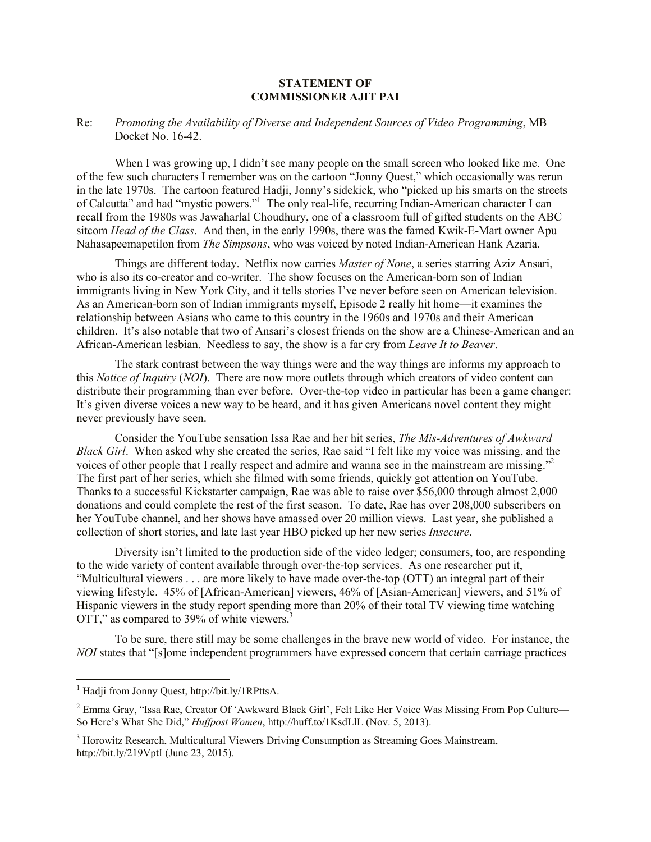## **STATEMENT OF COMMISSIONER AJIT PAI**

## Re: *Promoting the Availability of Diverse and Independent Sources of Video Programming*, MB Docket No. 16-42.

When I was growing up, I didn't see many people on the small screen who looked like me. One of the few such characters I remember was on the cartoon "Jonny Quest," which occasionally was rerun in the late 1970s. The cartoon featured Hadji, Jonny's sidekick, who "picked up his smarts on the streets of Calcutta" and had "mystic powers."<sup>1</sup> The only real-life, recurring Indian-American character I can recall from the 1980s was Jawaharlal Choudhury, one of a classroom full of gifted students on the ABC sitcom *Head of the Class*. And then, in the early 1990s, there was the famed Kwik-E-Mart owner Apu Nahasapeemapetilon from *The Simpsons*, who was voiced by noted Indian-American Hank Azaria.

Things are different today. Netflix now carries *Master of None*, a series starring Aziz Ansari, who is also its co-creator and co-writer. The show focuses on the American-born son of Indian immigrants living in New York City, and it tells stories I've never before seen on American television. As an American-born son of Indian immigrants myself, Episode 2 really hit home—it examines the relationship between Asians who came to this country in the 1960s and 1970s and their American children. It's also notable that two of Ansari's closest friends on the show are a Chinese-American and an African-American lesbian. Needless to say, the show is a far cry from *Leave It to Beaver*.

The stark contrast between the way things were and the way things are informs my approach to this *Notice of Inquiry* (*NOI*). There are now more outlets through which creators of video content can distribute their programming than ever before. Over-the-top video in particular has been a game changer: It's given diverse voices a new way to be heard, and it has given Americans novel content they might never previously have seen.

Consider the YouTube sensation Issa Rae and her hit series, *The Mis-Adventures of Awkward Black Girl*. When asked why she created the series, Rae said "I felt like my voice was missing, and the voices of other people that I really respect and admire and wanna see in the mainstream are missing."<sup>2</sup> The first part of her series, which she filmed with some friends, quickly got attention on YouTube. Thanks to a successful Kickstarter campaign, Rae was able to raise over \$56,000 through almost 2,000 donations and could complete the rest of the first season. To date, Rae has over 208,000 subscribers on her YouTube channel, and her shows have amassed over 20 million views. Last year, she published a collection of short stories, and late last year HBO picked up her new series *Insecure*.

Diversity isn't limited to the production side of the video ledger; consumers, too, are responding to the wide variety of content available through over-the-top services. As one researcher put it, "Multicultural viewers . . . are more likely to have made over-the-top (OTT) an integral part of their viewing lifestyle. 45% of [African-American] viewers, 46% of [Asian-American] viewers, and 51% of Hispanic viewers in the study report spending more than 20% of their total TV viewing time watching OTT," as compared to 39% of white viewers.<sup>3</sup>

To be sure, there still may be some challenges in the brave new world of video. For instance, the *NOI* states that "[s]ome independent programmers have expressed concern that certain carriage practices

 $\overline{a}$ 

<sup>&</sup>lt;sup>1</sup> Hadji from Jonny Quest, http://bit.ly/1RPttsA.

<sup>&</sup>lt;sup>2</sup> Emma Gray, "Issa Rae, Creator Of 'Awkward Black Girl', Felt Like Her Voice Was Missing From Pop Culture— So Here's What She Did," *Huffpost Women*, http://huff.to/1KsdLlL (Nov. 5, 2013).

<sup>3</sup> Horowitz Research, Multicultural Viewers Driving Consumption as Streaming Goes Mainstream, http://bit.ly/219VptI (June 23, 2015).